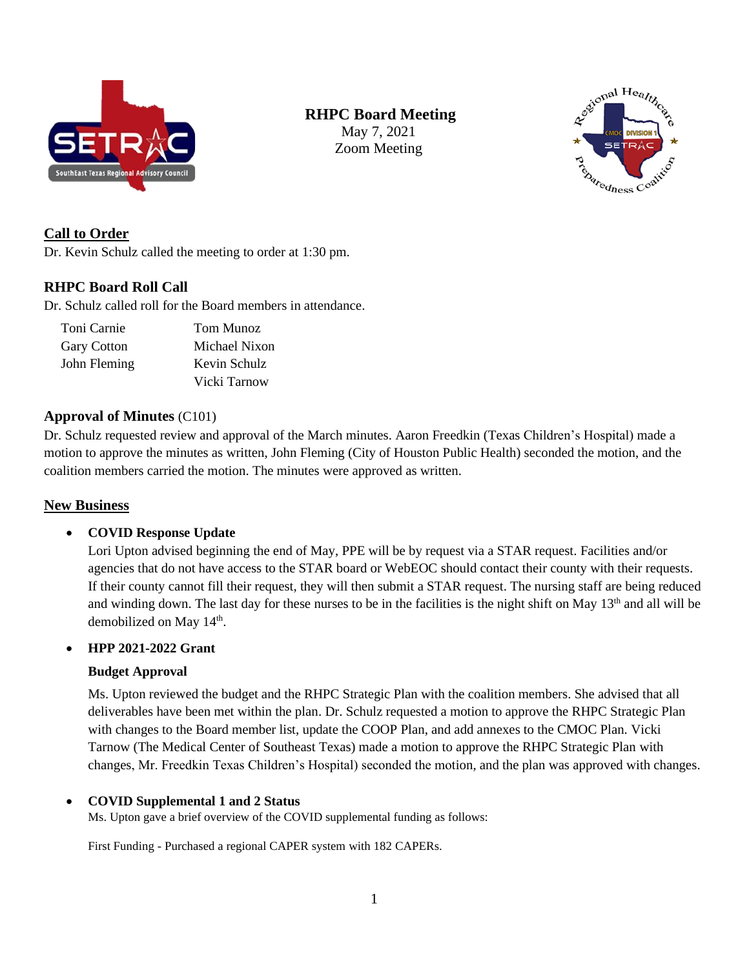

# **RHPC Board Meeting**

May 7, 2021 Zoom Meeting



## **Call to Order**

Dr. Kevin Schulz called the meeting to order at 1:30 pm.

## **RHPC Board Roll Call**

Dr. Schulz called roll for the Board members in attendance.

| Toni Carnie        | Tom Munoz     |
|--------------------|---------------|
| <b>Gary Cotton</b> | Michael Nixon |
| John Fleming       | Kevin Schulz  |
|                    | Vicki Tarnow  |

#### **Approval of Minutes** (C101)

Dr. Schulz requested review and approval of the March minutes. Aaron Freedkin (Texas Children's Hospital) made a motion to approve the minutes as written, John Fleming (City of Houston Public Health) seconded the motion, and the coalition members carried the motion. The minutes were approved as written.

## **New Business**

#### • **COVID Response Update**

Lori Upton advised beginning the end of May, PPE will be by request via a STAR request. Facilities and/or agencies that do not have access to the STAR board or WebEOC should contact their county with their requests. If their county cannot fill their request, they will then submit a STAR request. The nursing staff are being reduced and winding down. The last day for these nurses to be in the facilities is the night shift on May 13<sup>th</sup> and all will be demobilized on May 14<sup>th</sup>.

### • **HPP 2021-2022 Grant**

#### **Budget Approval**

Ms. Upton reviewed the budget and the RHPC Strategic Plan with the coalition members. She advised that all deliverables have been met within the plan. Dr. Schulz requested a motion to approve the RHPC Strategic Plan with changes to the Board member list, update the COOP Plan, and add annexes to the CMOC Plan. Vicki Tarnow (The Medical Center of Southeast Texas) made a motion to approve the RHPC Strategic Plan with changes, Mr. Freedkin Texas Children's Hospital) seconded the motion, and the plan was approved with changes.

#### • **COVID Supplemental 1 and 2 Status**

Ms. Upton gave a brief overview of the COVID supplemental funding as follows:

First Funding - Purchased a regional CAPER system with 182 CAPERs.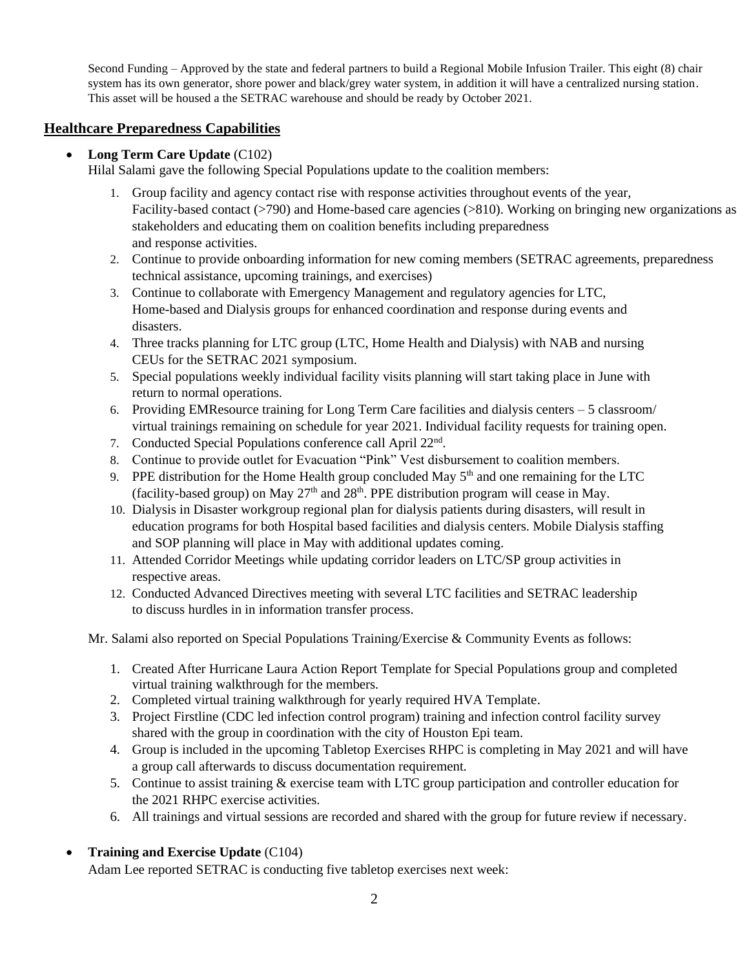Second Funding – Approved by the state and federal partners to build a Regional Mobile Infusion Trailer. This eight (8) chair system has its own generator, shore power and black/grey water system, in addition it will have a centralized nursing station. This asset will be housed a the SETRAC warehouse and should be ready by October 2021.

## **Healthcare Preparedness Capabilities**

### • **Long Term Care Update** (C102)

Hilal Salami gave the following Special Populations update to the coalition members:

- 1. Group facility and agency contact rise with response activities throughout events of the year, Facility-based contact (>790) and Home-based care agencies (>810). Working on bringing new organizations as stakeholders and educating them on coalition benefits including preparedness and response activities.
- 2. Continue to provide onboarding information for new coming members (SETRAC agreements, preparedness technical assistance, upcoming trainings, and exercises)
- 3. Continue to collaborate with Emergency Management and regulatory agencies for LTC, Home-based and Dialysis groups for enhanced coordination and response during events and disasters.
- 4. Three tracks planning for LTC group (LTC, Home Health and Dialysis) with NAB and nursing CEUs for the SETRAC 2021 symposium.
- 5. Special populations weekly individual facility visits planning will start taking place in June with return to normal operations.
- 6. Providing EMResource training for Long Term Care facilities and dialysis centers 5 classroom/ virtual trainings remaining on schedule for year 2021. Individual facility requests for training open.
- 7. Conducted Special Populations conference call April 22<sup>nd</sup>.
- 8. Continue to provide outlet for Evacuation "Pink" Vest disbursement to coalition members.
- 9. PPE distribution for the Home Health group concluded May  $5<sup>th</sup>$  and one remaining for the LTC (facility-based group) on May  $27<sup>th</sup>$  and  $28<sup>th</sup>$ . PPE distribution program will cease in May.
- 10. Dialysis in Disaster workgroup regional plan for dialysis patients during disasters, will result in education programs for both Hospital based facilities and dialysis centers. Mobile Dialysis staffing and SOP planning will place in May with additional updates coming.
- 11. Attended Corridor Meetings while updating corridor leaders on LTC/SP group activities in respective areas.
- 12. Conducted Advanced Directives meeting with several LTC facilities and SETRAC leadership to discuss hurdles in in information transfer process.

Mr. Salami also reported on Special Populations Training/Exercise & Community Events as follows:

- 1. Created After Hurricane Laura Action Report Template for Special Populations group and completed virtual training walkthrough for the members.
- 2. Completed virtual training walkthrough for yearly required HVA Template.
- 3. Project Firstline (CDC led infection control program) training and infection control facility survey shared with the group in coordination with the city of Houston Epi team.
- 4. Group is included in the upcoming Tabletop Exercises RHPC is completing in May 2021 and will have a group call afterwards to discuss documentation requirement.
- 5. Continue to assist training & exercise team with LTC group participation and controller education for the 2021 RHPC exercise activities.
- 6. All trainings and virtual sessions are recorded and shared with the group for future review if necessary.

## • **Training and Exercise Update** (C104)

Adam Lee reported SETRAC is conducting five tabletop exercises next week: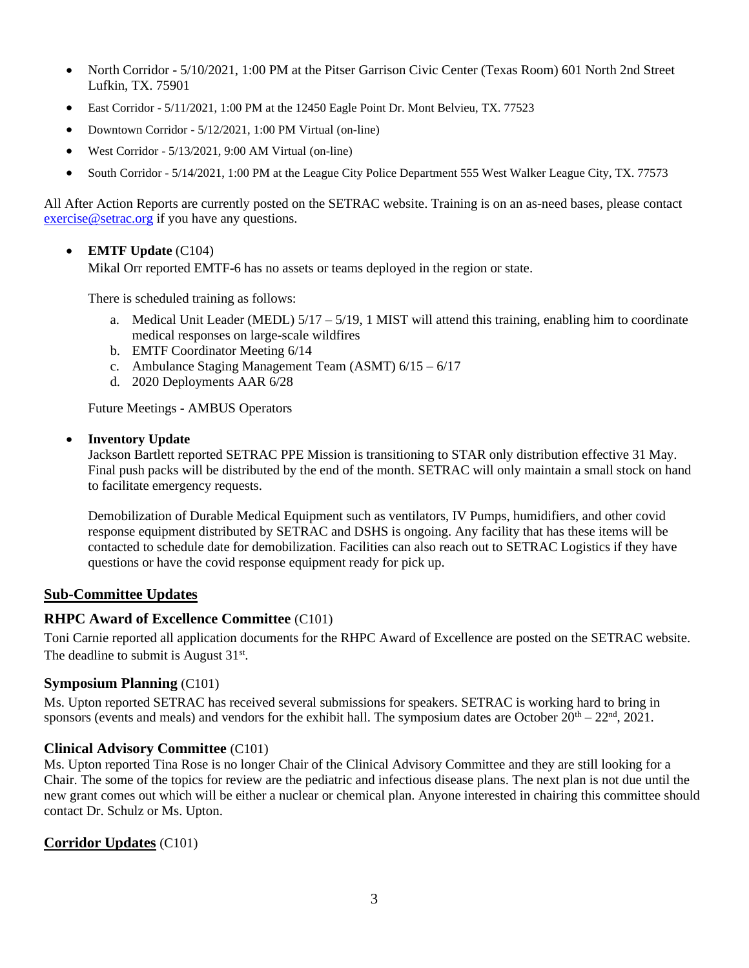- North Corridor 5/10/2021, 1:00 PM at the Pitser Garrison Civic Center (Texas Room) 601 North 2nd Street Lufkin, TX. 75901
- East Corridor 5/11/2021, 1:00 PM at the 12450 Eagle Point Dr. Mont Belvieu, TX. 77523
- Downtown Corridor 5/12/2021, 1:00 PM Virtual (on-line)
- West Corridor 5/13/2021, 9:00 AM Virtual (on-line)
- South Corridor 5/14/2021, 1:00 PM at the League City Police Department 555 West Walker League City, TX. 77573

All After Action Reports are currently posted on the SETRAC website. Training is on an as-need bases, please contact [exercise@setrac.org](mailto:exercise@setrac.org) if you have any questions.

• **EMTF Update** (C104)

Mikal Orr reported EMTF-6 has no assets or teams deployed in the region or state.

There is scheduled training as follows:

- a. Medical Unit Leader (MEDL)  $5/17 5/19$ , 1 MIST will attend this training, enabling him to coordinate medical responses on large-scale wildfires
- b. EMTF Coordinator Meeting 6/14
- c. Ambulance Staging Management Team (ASMT) 6/15 6/17
- d. 2020 Deployments AAR 6/28

Future Meetings - AMBUS Operators

#### • **Inventory Update**

Jackson Bartlett reported SETRAC PPE Mission is transitioning to STAR only distribution effective 31 May. Final push packs will be distributed by the end of the month. SETRAC will only maintain a small stock on hand to facilitate emergency requests.

Demobilization of Durable Medical Equipment such as ventilators, IV Pumps, humidifiers, and other covid response equipment distributed by SETRAC and DSHS is ongoing. Any facility that has these items will be contacted to schedule date for demobilization. Facilities can also reach out to SETRAC Logistics if they have questions or have the covid response equipment ready for pick up.

#### **Sub-Committee Updates**

#### **RHPC Award of Excellence Committee** (C101)

Toni Carnie reported all application documents for the RHPC Award of Excellence are posted on the SETRAC website. The deadline to submit is August  $31<sup>st</sup>$ .

#### **Symposium Planning** (C101)

Ms. Upton reported SETRAC has received several submissions for speakers. SETRAC is working hard to bring in sponsors (events and meals) and vendors for the exhibit hall. The symposium dates are October  $20^{th} - 22^{nd}$ ,  $2021$ .

#### **Clinical Advisory Committee** (C101)

Ms. Upton reported Tina Rose is no longer Chair of the Clinical Advisory Committee and they are still looking for a Chair. The some of the topics for review are the pediatric and infectious disease plans. The next plan is not due until the new grant comes out which will be either a nuclear or chemical plan. Anyone interested in chairing this committee should contact Dr. Schulz or Ms. Upton.

#### **Corridor Updates** (C101)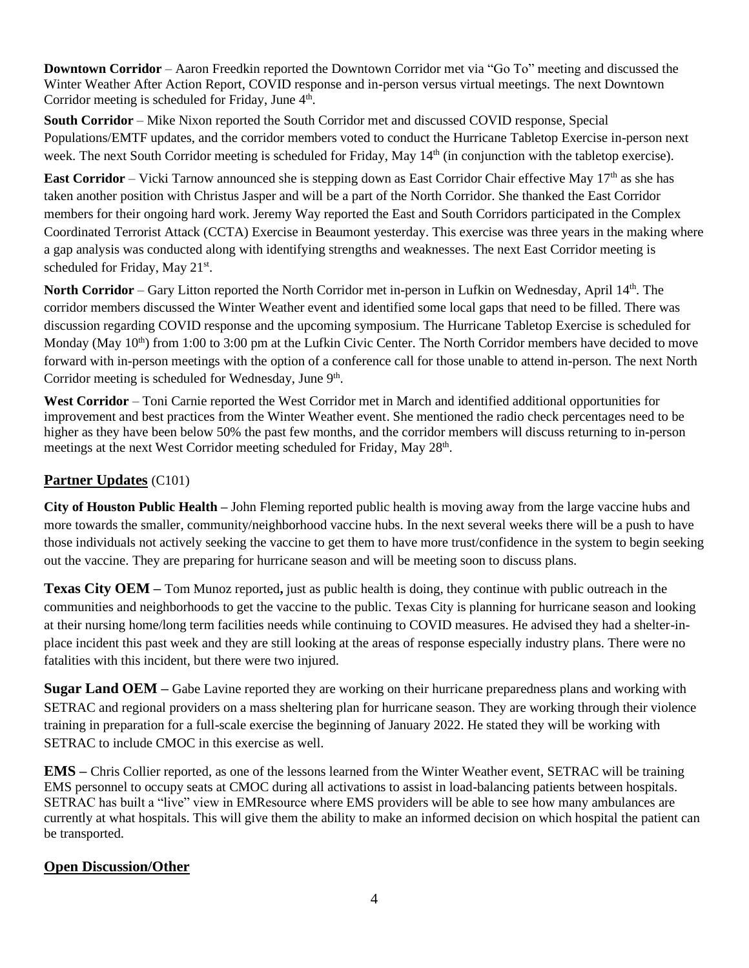**Downtown Corridor** – Aaron Freedkin reported the Downtown Corridor met via "Go To" meeting and discussed the Winter Weather After Action Report, COVID response and in-person versus virtual meetings. The next Downtown Corridor meeting is scheduled for Friday, June  $4<sup>th</sup>$ .

**South Corridor** – Mike Nixon reported the South Corridor met and discussed COVID response, Special Populations/EMTF updates, and the corridor members voted to conduct the Hurricane Tabletop Exercise in-person next week. The next South Corridor meeting is scheduled for Friday, May 14<sup>th</sup> (in conjunction with the tabletop exercise).

**East Corridor** – Vicki Tarnow announced she is stepping down as East Corridor Chair effective May 17<sup>th</sup> as she has taken another position with Christus Jasper and will be a part of the North Corridor. She thanked the East Corridor members for their ongoing hard work. Jeremy Way reported the East and South Corridors participated in the Complex Coordinated Terrorist Attack (CCTA) Exercise in Beaumont yesterday. This exercise was three years in the making where a gap analysis was conducted along with identifying strengths and weaknesses. The next East Corridor meeting is scheduled for Friday, May 21<sup>st</sup>.

North Corridor – Gary Litton reported the North Corridor met in-person in Lufkin on Wednesday, April 14<sup>th</sup>. The corridor members discussed the Winter Weather event and identified some local gaps that need to be filled. There was discussion regarding COVID response and the upcoming symposium. The Hurricane Tabletop Exercise is scheduled for Monday (May 10<sup>th</sup>) from 1:00 to 3:00 pm at the Lufkin Civic Center. The North Corridor members have decided to move forward with in-person meetings with the option of a conference call for those unable to attend in-person. The next North Corridor meeting is scheduled for Wednesday, June 9th.

**West Corridor** – Toni Carnie reported the West Corridor met in March and identified additional opportunities for improvement and best practices from the Winter Weather event. She mentioned the radio check percentages need to be higher as they have been below 50% the past few months, and the corridor members will discuss returning to in-person meetings at the next West Corridor meeting scheduled for Friday, May 28<sup>th</sup>.

## **Partner Updates** (C101)

**City of Houston Public Health –** John Fleming reported public health is moving away from the large vaccine hubs and more towards the smaller, community/neighborhood vaccine hubs. In the next several weeks there will be a push to have those individuals not actively seeking the vaccine to get them to have more trust/confidence in the system to begin seeking out the vaccine. They are preparing for hurricane season and will be meeting soon to discuss plans.

**Texas City OEM –** Tom Munoz reported**,** just as public health is doing, they continue with public outreach in the communities and neighborhoods to get the vaccine to the public. Texas City is planning for hurricane season and looking at their nursing home/long term facilities needs while continuing to COVID measures. He advised they had a shelter-inplace incident this past week and they are still looking at the areas of response especially industry plans. There were no fatalities with this incident, but there were two injured.

**Sugar Land OEM –** Gabe Lavine reported they are working on their hurricane preparedness plans and working with SETRAC and regional providers on a mass sheltering plan for hurricane season. They are working through their violence training in preparation for a full-scale exercise the beginning of January 2022. He stated they will be working with SETRAC to include CMOC in this exercise as well.

**EMS –** Chris Collier reported, as one of the lessons learned from the Winter Weather event, SETRAC will be training EMS personnel to occupy seats at CMOC during all activations to assist in load-balancing patients between hospitals. SETRAC has built a "live" view in EMResource where EMS providers will be able to see how many ambulances are currently at what hospitals. This will give them the ability to make an informed decision on which hospital the patient can be transported.

## **Open Discussion/Other**